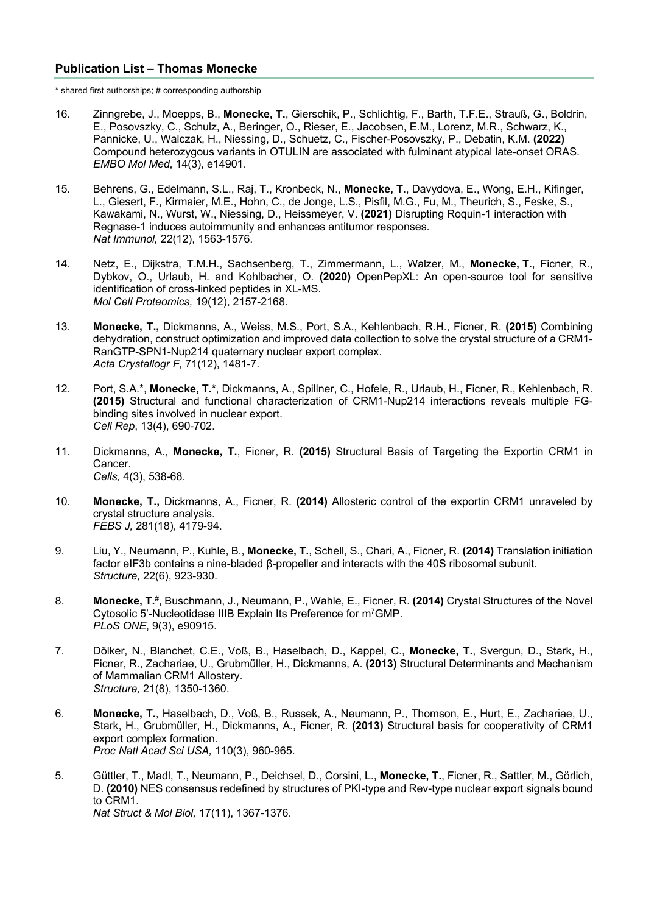## **Publication List – Thomas Monecke**

\* shared first authorships; # corresponding authorship

- 16. Zinngrebe, J., Moepps, B., **Monecke, T.**, Gierschik, P., Schlichtig, F., Barth, T.F.E., Strauß, G., Boldrin, E., Posovszky, C., Schulz, A., Beringer, O., Rieser, E., Jacobsen, E.M., Lorenz, M.R., Schwarz, K., Pannicke, U., Walczak, H., Niessing, D., Schuetz, C., Fischer-Posovszky, P., Debatin, K.M. **(2022)** Compound heterozygous variants in OTULIN are associated with fulminant atypical late-onset ORAS. *EMBO Mol Med*, 14(3), e14901.
- 15. Behrens, G., Edelmann, S.L., Raj, T., Kronbeck, N., **Monecke, T.**, Davydova, E., Wong, E.H., Kifinger, L., Giesert, F., Kirmaier, M.E., Hohn, C., de Jonge, L.S., Pisfil, M.G., Fu, M., Theurich, S., Feske, S., Kawakami, N., Wurst, W., Niessing, D., Heissmeyer, V. **(2021)** Disrupting Roquin-1 interaction with Regnase-1 induces autoimmunity and enhances antitumor responses. *Nat Immunol,* 22(12), 1563-1576.
- 14. Netz, E., Dijkstra, T.M.H., Sachsenberg, T., Zimmermann, L., Walzer, M., **Monecke, T.**, Ficner, R., Dybkov, O., Urlaub, H. and Kohlbacher, O. **(2020)** OpenPepXL: An open-source tool for sensitive identification of cross-linked peptides in XL-MS. *Mol Cell Proteomics,* 19(12), 2157-2168.
- 13. **Monecke, T.,** Dickmanns, A., Weiss, M.S., Port, S.A., Kehlenbach, R.H., Ficner, R. **(2015)** Combining dehydration, construct optimization and improved data collection to solve the crystal structure of a CRM1- RanGTP-SPN1-Nup214 quaternary nuclear export complex. *Acta Crystallogr F,* 71(12), 1481-7.
- 12. Port, S.A.\*, **Monecke, T.**\*, Dickmanns, A., Spillner, C., Hofele, R., Urlaub, H., Ficner, R., Kehlenbach, R. **(2015)** Structural and functional characterization of CRM1-Nup214 interactions reveals multiple FGbinding sites involved in nuclear export. *Cell Rep*, 13(4), 690-702.
- 11. Dickmanns, A., **Monecke, T.**, Ficner, R. **(2015)** Structural Basis of Targeting the Exportin CRM1 in Cancer. *Cells,* 4(3), 538-68.
- 10. **Monecke, T.,** Dickmanns, A., Ficner, R. **(2014)** Allosteric control of the exportin CRM1 unraveled by crystal structure analysis. *FEBS J,* 281(18), 4179-94.
- 9. Liu, Y., Neumann, P., Kuhle, B., **Monecke, T.**, Schell, S., Chari, A., Ficner, R. **(2014)** Translation initiation factor eIF3b contains a nine-bladed β-propeller and interacts with the 40S ribosomal subunit. *Structure,* 22(6), 923-930.
- 8. **Monecke, T.**#, Buschmann, J., Neumann, P., Wahle, E., Ficner, R. **(2014)** Crystal Structures of the Novel Cytosolic 5'-Nucleotidase IIIB Explain Its Preference for m7GMP. *PLoS ONE*, 9(3), e90915.
- 7. Dölker, N., Blanchet, C.E., Voß, B., Haselbach, D., Kappel, C., **Monecke, T.**, Svergun, D., Stark, H., Ficner, R., Zachariae, U., Grubmüller, H., Dickmanns, A. **(2013)** Structural Determinants and Mechanism of Mammalian CRM1 Allostery. *Structure,* 21(8), 1350-1360.
- 6. **Monecke, T.**, Haselbach, D., Voß, B., Russek, A., Neumann, P., Thomson, E., Hurt, E., Zachariae, U., Stark, H., Grubmüller, H., Dickmanns, A., Ficner, R. **(2013)** Structural basis for cooperativity of CRM1 export complex formation. *Proc Natl Acad Sci USA,* 110(3), 960-965.
- 5. Güttler, T., Madl, T., Neumann, P., Deichsel, D., Corsini, L., **Monecke, T.**, Ficner, R., Sattler, M., Görlich, D. **(2010)** NES consensus redefined by structures of PKI-type and Rev-type nuclear export signals bound to CRM1. *Nat Struct & Mol Biol,* 17(11), 1367-1376.